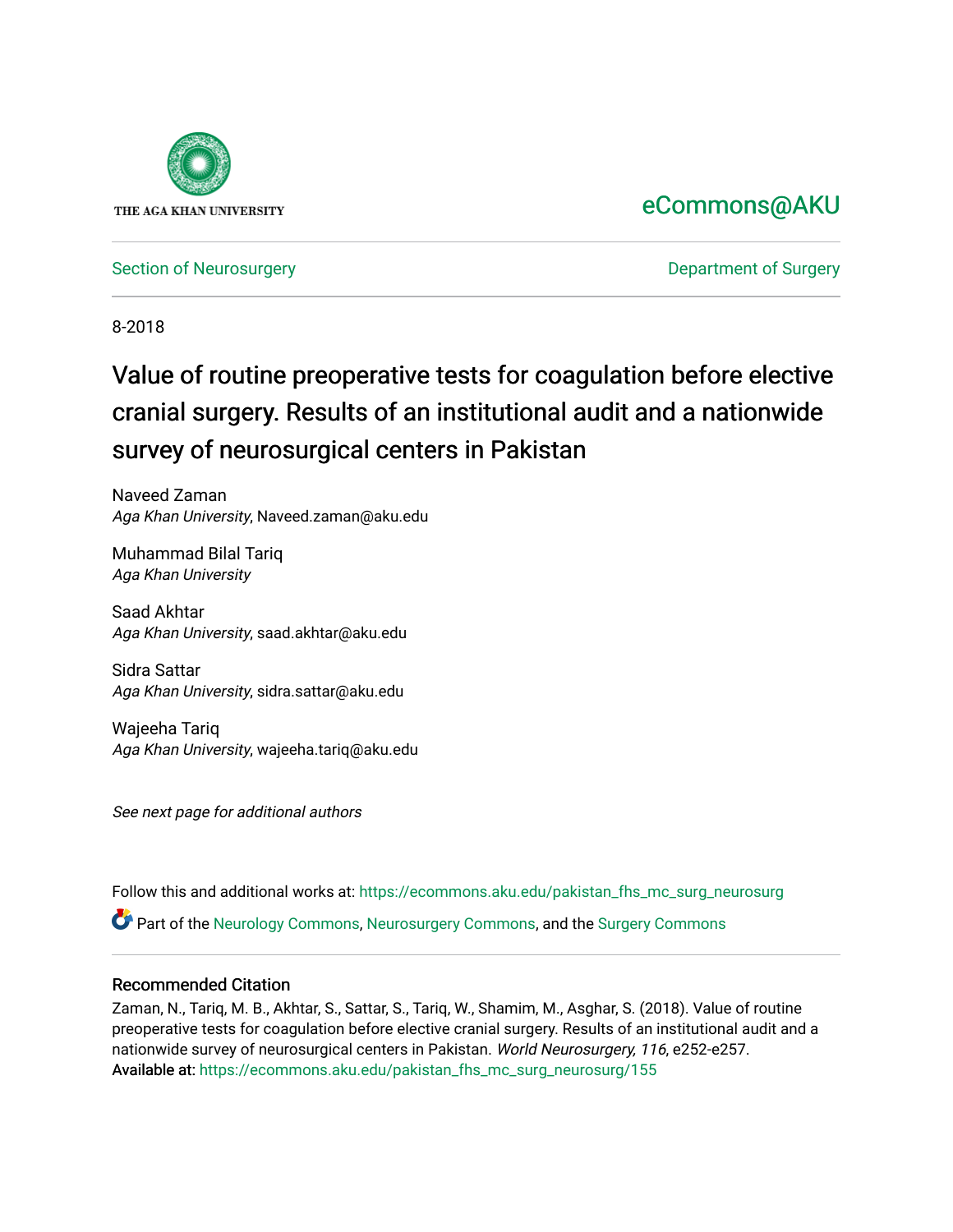

## [eCommons@AKU](https://ecommons.aku.edu/)

[Section of Neurosurgery](https://ecommons.aku.edu/pakistan_fhs_mc_surg_neurosurg) **Department of Surgery** Department of Surgery

8-2018

# Value of routine preoperative tests for coagulation before elective cranial surgery. Results of an institutional audit and a nationwide survey of neurosurgical centers in Pakistan

Naveed Zaman Aga Khan University, Naveed.zaman@aku.edu

Muhammad Bilal Tariq Aga Khan University

Saad Akhtar Aga Khan University, saad.akhtar@aku.edu

Sidra Sattar Aga Khan University, sidra.sattar@aku.edu

Wajeeha Tariq Aga Khan University, wajeeha.tariq@aku.edu

See next page for additional authors

Follow this and additional works at: [https://ecommons.aku.edu/pakistan\\_fhs\\_mc\\_surg\\_neurosurg](https://ecommons.aku.edu/pakistan_fhs_mc_surg_neurosurg?utm_source=ecommons.aku.edu%2Fpakistan_fhs_mc_surg_neurosurg%2F155&utm_medium=PDF&utm_campaign=PDFCoverPages) 

Part of the [Neurology Commons](http://network.bepress.com/hgg/discipline/692?utm_source=ecommons.aku.edu%2Fpakistan_fhs_mc_surg_neurosurg%2F155&utm_medium=PDF&utm_campaign=PDFCoverPages), [Neurosurgery Commons](http://network.bepress.com/hgg/discipline/1428?utm_source=ecommons.aku.edu%2Fpakistan_fhs_mc_surg_neurosurg%2F155&utm_medium=PDF&utm_campaign=PDFCoverPages), and the [Surgery Commons](http://network.bepress.com/hgg/discipline/706?utm_source=ecommons.aku.edu%2Fpakistan_fhs_mc_surg_neurosurg%2F155&utm_medium=PDF&utm_campaign=PDFCoverPages) 

## Recommended Citation

Zaman, N., Tariq, M. B., Akhtar, S., Sattar, S., Tariq, W., Shamim, M., Asghar, S. (2018). Value of routine preoperative tests for coagulation before elective cranial surgery. Results of an institutional audit and a nationwide survey of neurosurgical centers in Pakistan. World Neurosurgery, 116, e252-e257. Available at: [https://ecommons.aku.edu/pakistan\\_fhs\\_mc\\_surg\\_neurosurg/155](https://ecommons.aku.edu/pakistan_fhs_mc_surg_neurosurg/155)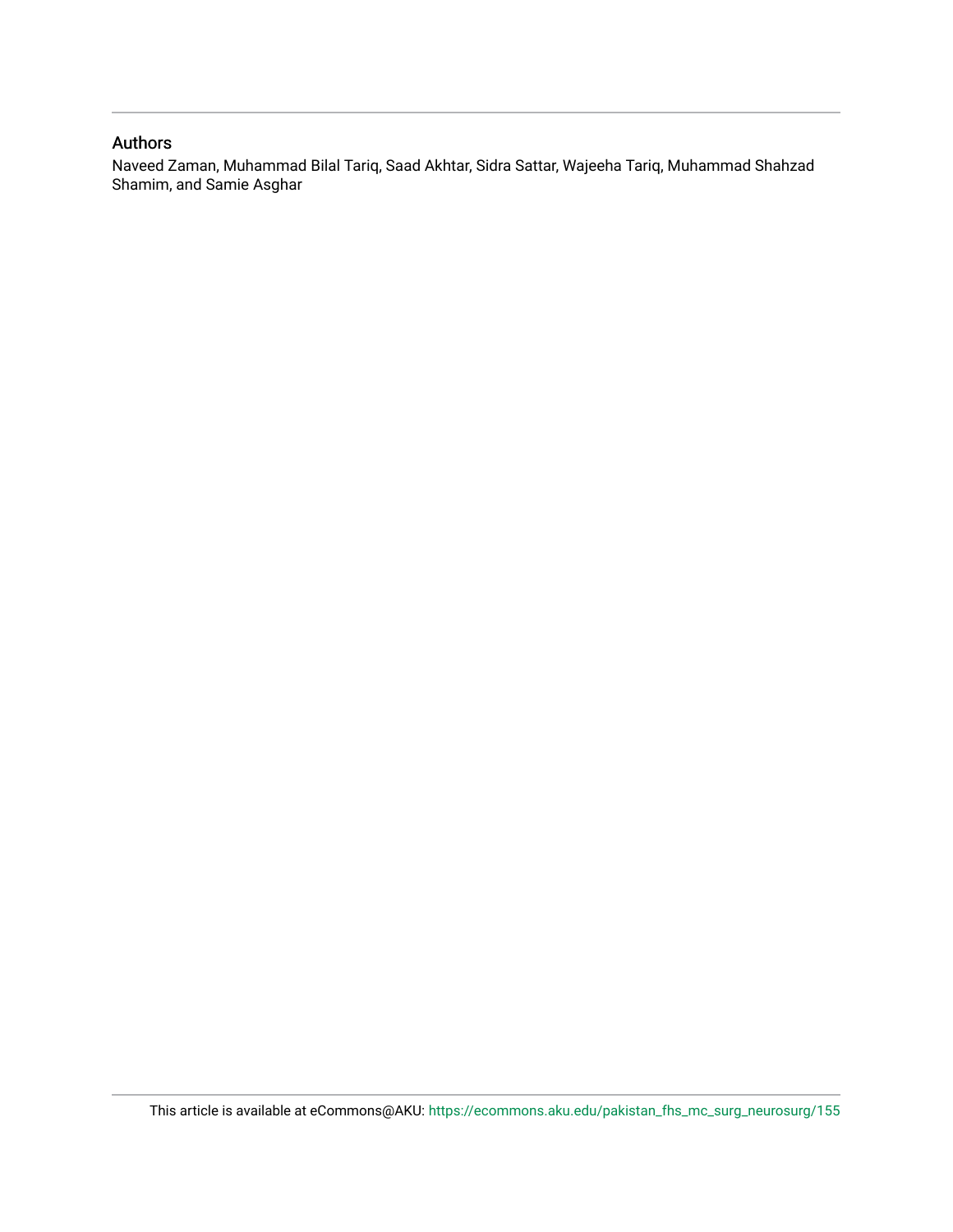### Authors

Naveed Zaman, Muhammad Bilal Tariq, Saad Akhtar, Sidra Sattar, Wajeeha Tariq, Muhammad Shahzad Shamim, and Samie Asghar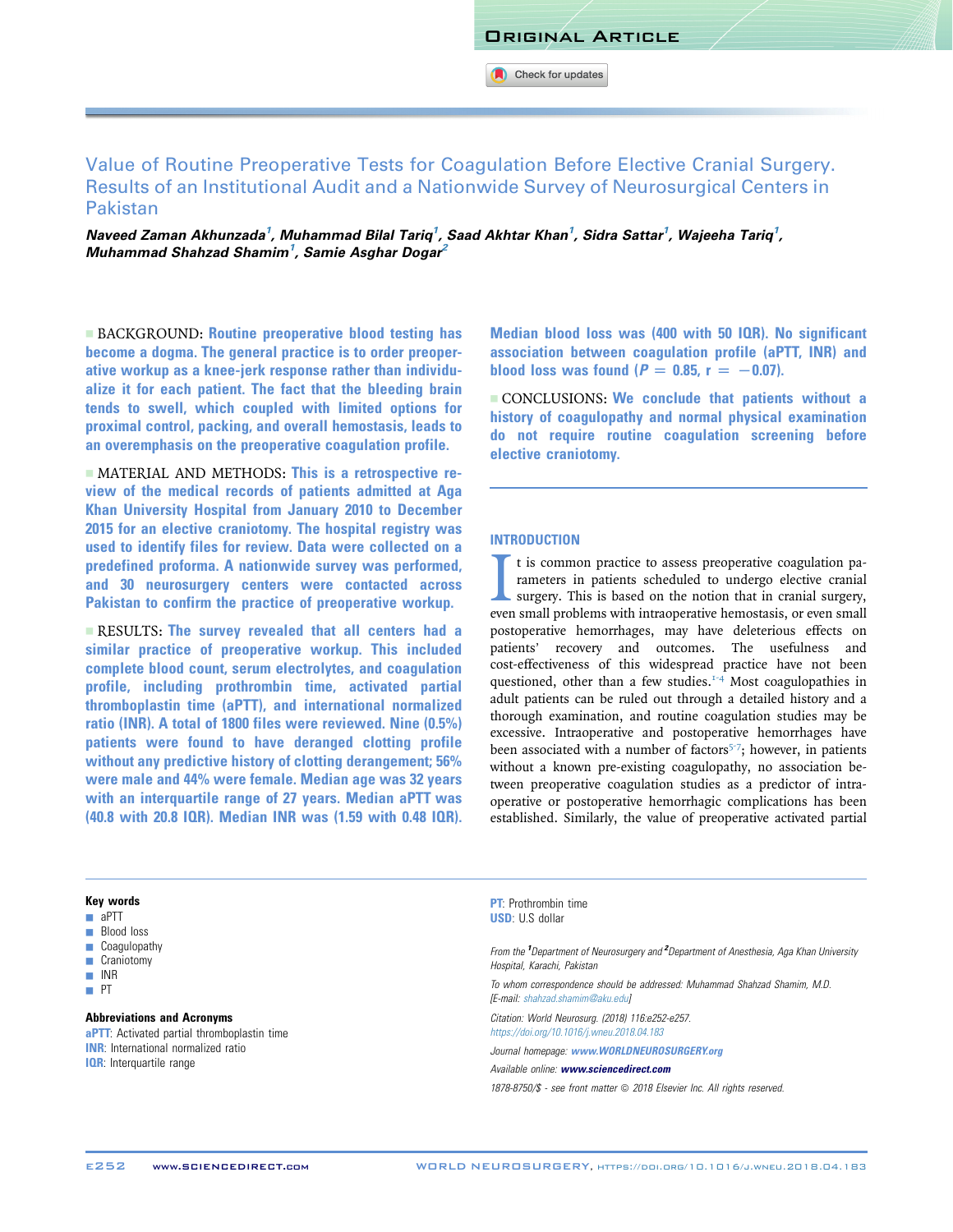Original Article

Check for updates

## Value of Routine Preoperative Tests for Coagulation Before Elective Cranial Surgery. Results of an Institutional Audit and a Nationwide Survey of Neurosurgical Centers in Pakistan

Naveed Zaman Akhunzada<sup>1</sup>, Muhammad Bilal Tariq<sup>1</sup>, Saad Akhtar Khan<sup>1</sup>, Sidra Sattar<sup>1</sup>, Wajeeha Tariq<sup>1</sup>, Muhammad Shahzad Shamim<sup>1</sup>, Samie Asghar Dogar<sup>2</sup>

**EXACKGROUND: Routine preoperative blood testing has** become a dogma. The general practice is to order preoperative workup as a knee-jerk response rather than individualize it for each patient. The fact that the bleeding brain tends to swell, which coupled with limited options for proximal control, packing, and overall hemostasis, leads to an overemphasis on the preoperative coagulation profile.

 $\blacksquare$  MATERIAL AND METHODS: This is a retrospective review of the medical records of patients admitted at Aga Khan University Hospital from January 2010 to December 2015 for an elective craniotomy. The hospital registry was used to identify files for review. Data were collected on a predefined proforma. A nationwide survey was performed, and 30 neurosurgery centers were contacted across Pakistan to confirm the practice of preoperative workup.

**EXECULTS: The survey revealed that all centers had a** similar practice of preoperative workup. This included complete blood count, serum electrolytes, and coagulation profile, including prothrombin time, activated partial thromboplastin time (aPTT), and international normalized ratio (INR). A total of 1800 files were reviewed. Nine (0.5%) patients were found to have deranged clotting profile without any predictive history of clotting derangement; 56% were male and 44% were female. Median age was 32 years with an interquartile range of 27 years. Median aPTT was (40.8 with 20.8 IQR). Median INR was (1.59 with 0.48 IQR). Median blood loss was (400 with 50 IQR). No significant association between coagulation profile (aPTT, INR) and blood loss was found ( $P = 0.85$ ,  $r = -0.07$ ).

 $\blacksquare$  CONCLUSIONS: We conclude that patients without a history of coagulopathy and normal physical examination do not require routine coagulation screening before elective craniotomy.

#### INTRODUCTION

It is common practice to assess preoperative coagulation parameters in patients scheduled to undergo elective cranial surgery. This is based on the notion that in cranial surgery, even small problems with intraoperative he t is common practice to assess preoperative coagulation parameters in patients scheduled to undergo elective cranial surgery. This is based on the notion that in cranial surgery, postoperative hemorrhages, may have deleterious effects on patients' recovery and outcomes. The usefulness and cost-effectiveness of this widespread practice have not been questioned, other than a few studies. $1.4$  Most coagulopathies in adult patients can be ruled out through a detailed history and a thorough examination, and routine coagulation studies may be excessive. Intraoperative and postoperative hemorrhages have been associated with a number of factors<sup> $5-7$ </sup>; however, in patients without a known pre-existing coagulopathy, no association between preoperative coagulation studies as a predictor of intraoperative or postoperative hemorrhagic complications has been established. Similarly, the value of preoperative activated partial

#### Key words

- $\blacksquare$  aPTT
- **Blood loss**
- **Coagulopathy**
- **Craniotomy**
- $\blacksquare$  INR
- $-$  PT

#### Abbreviations and Acronyms

**aPTT**: Activated partial thromboplastin time **INR:** International normalized ratio **IQR:** Interquartile range

**PT:** Prothrombin time USD: U.S dollar

From the <sup>1</sup>Department of Neurosurgery and <sup>2</sup>Department of Anesthesia, Aga Khan University Hospital, Karachi, Pakistan

To whom correspondence should be addressed: Muhammad Shahzad Shamim, M.D. [E-mail: [shahzad.shamim@aku.edu\]](mailto:shahzad.shamim@aku.edu)

Citation: World Neurosurg. (2018) 116:e252-e257. <https://doi.org/10.1016/j.wneu.2018.04.183>

Journal homepage: [www.WORLDNEUROSURGERY.org](http://www.WORLDNEUROSURGERY.org)

Available online: [www.sciencedirect.com](www.sciencedirect.com/science/journal/18788750)

1878-8750/\$ - see front matter @ 2018 Elsevier Inc. All rights reserved.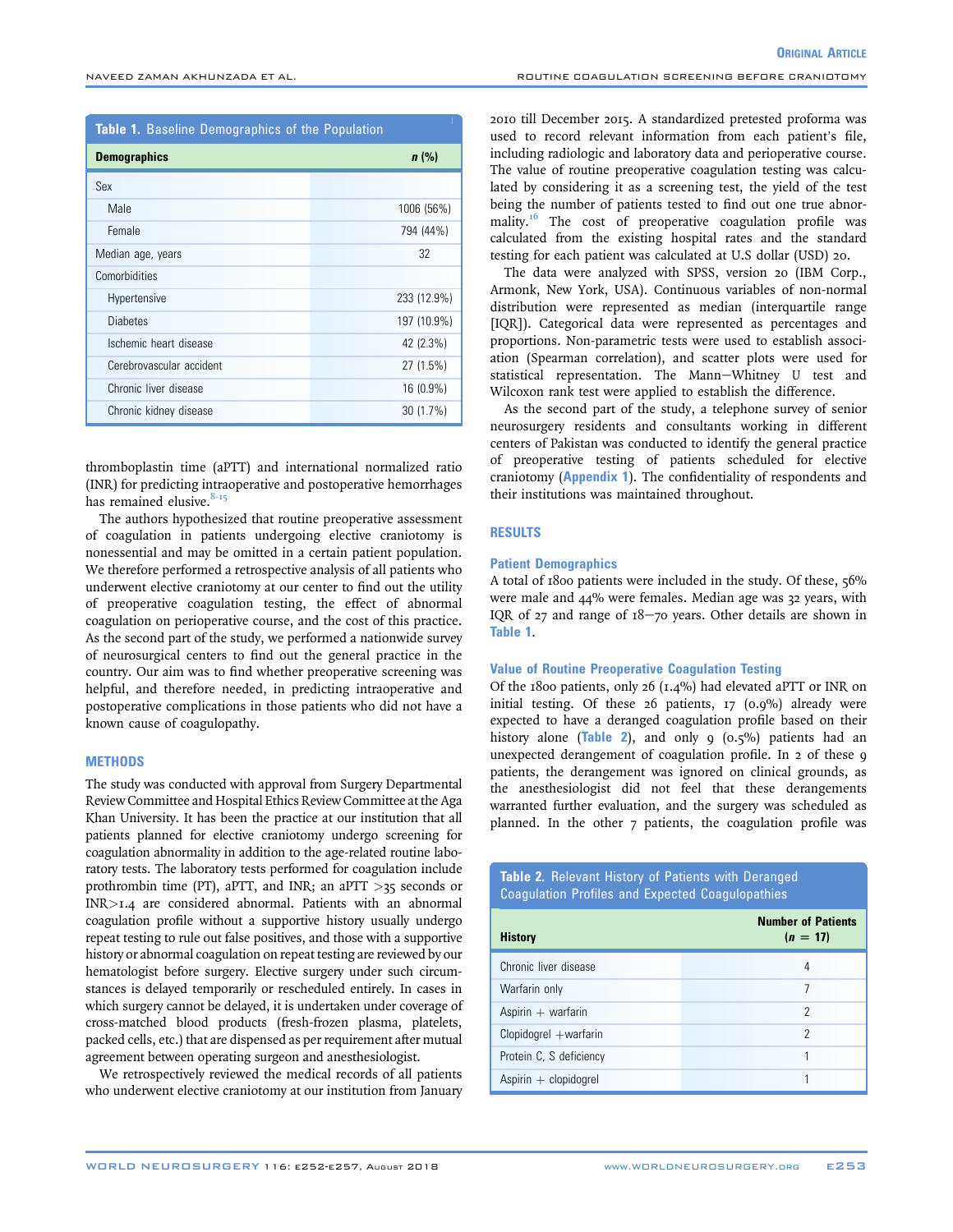**ORIGINAL ARTICLE** 

| <b>Table 1.</b> Baseline Demographics of the Population |             |  |  |  |
|---------------------------------------------------------|-------------|--|--|--|
| <b>Demographics</b>                                     | $n$ (%)     |  |  |  |
| Sex                                                     |             |  |  |  |
| Male                                                    | 1006 (56%)  |  |  |  |
| Female                                                  | 794 (44%)   |  |  |  |
| Median age, years                                       | 32          |  |  |  |
| Comorbidities                                           |             |  |  |  |
| Hypertensive                                            | 233 (12.9%) |  |  |  |
| <b>Diabetes</b>                                         | 197 (10.9%) |  |  |  |
| Ischemic heart disease                                  | 42 (2.3%)   |  |  |  |
| Cerebrovascular accident                                | 27 (1.5%)   |  |  |  |
| Chronic liver disease                                   | 16 (0.9%)   |  |  |  |
| Chronic kidney disease                                  | 30 (1.7%)   |  |  |  |

thromboplastin time (aPTT) and international normalized ratio (INR) for predicting intraoperative and postoperative hemorrhages has remained elusive. $8-15$ 

The authors hypothesized that routine preoperative assessment of coagulation in patients undergoing elective craniotomy is nonessential and may be omitted in a certain patient population. We therefore performed a retrospective analysis of all patients who underwent elective craniotomy at our center to find out the utility of preoperative coagulation testing, the effect of abnormal coagulation on perioperative course, and the cost of this practice. As the second part of the study, we performed a nationwide survey of neurosurgical centers to find out the general practice in the country. Our aim was to find whether preoperative screening was helpful, and therefore needed, in predicting intraoperative and postoperative complications in those patients who did not have a known cause of coagulopathy.

#### **METHODS**

The study was conducted with approval from Surgery Departmental Review Committee and Hospital Ethics Review Committee at the Aga Khan University. It has been the practice at our institution that all patients planned for elective craniotomy undergo screening for coagulation abnormality in addition to the age-related routine laboratory tests. The laboratory tests performed for coagulation include prothrombin time (PT), aPTT, and INR; an aPTT  $>35$  seconds or INR>1.4 are considered abnormal. Patients with an abnormal coagulation profile without a supportive history usually undergo repeat testing to rule out false positives, and those with a supportive history or abnormal coagulation on repeat testing are reviewed by our hematologist before surgery. Elective surgery under such circumstances is delayed temporarily or rescheduled entirely. In cases in which surgery cannot be delayed, it is undertaken under coverage of cross-matched blood products (fresh-frozen plasma, platelets, packed cells, etc.) that are dispensed as per requirement after mutual agreement between operating surgeon and anesthesiologist.

We retrospectively reviewed the medical records of all patients who underwent elective craniotomy at our institution from January 2010 till December 2015. A standardized pretested proforma was used to record relevant information from each patient's file, including radiologic and laboratory data and perioperative course. The value of routine preoperative coagulation testing was calculated by considering it as a screening test, the yield of the test being the number of patients tested to find out one true abnor-mality.<sup>[16](#page-6-0)</sup> The cost of preoperative coagulation profile was calculated from the existing hospital rates and the standard testing for each patient was calculated at U.S dollar (USD) 20.

The data were analyzed with SPSS, version 20 (IBM Corp., Armonk, New York, USA). Continuous variables of non-normal distribution were represented as median (interquartile range [IQR]). Categorical data were represented as percentages and proportions. Non-parametric tests were used to establish association (Spearman correlation), and scatter plots were used for statistical representation. The Mann-Whitney U test and Wilcoxon rank test were applied to establish the difference.

As the second part of the study, a telephone survey of senior neurosurgery residents and consultants working in different centers of Pakistan was conducted to identify the general practice of preoperative testing of patients scheduled for elective craniotomy (Appendix 1). The confidentiality of respondents and their institutions was maintained throughout.

#### RESULTS

#### Patient Demographics

A total of 1800 patients were included in the study. Of these, 56% were male and 44% were females. Median age was 32 years, with IQR of 27 and range of  $18-70$  years. Other details are shown in Table 1.

#### Value of Routine Preoperative Coagulation Testing

Of the 1800 patients, only 26 (1.4%) had elevated aPTT or INR on initial testing. Of these 26 patients, 17 (0.9%) already were expected to have a deranged coagulation profile based on their history alone (Table 2), and only  $9(0.5\%)$  patients had an unexpected derangement of coagulation profile. In 2 of these 9 patients, the derangement was ignored on clinical grounds, as the anesthesiologist did not feel that these derangements warranted further evaluation, and the surgery was scheduled as planned. In the other 7 patients, the coagulation profile was

Table 2. Relevant History of Patients with Deranged Coagulation Profiles and Expected Coagulopathies

| <b>History</b>          | <b>Number of Patients</b><br>$(n = 17)$ |
|-------------------------|-----------------------------------------|
| Chronic liver disease   | 4                                       |
| Warfarin only           | 7                                       |
| Aspirin $+$ warfarin    | 2                                       |
| Clopidogrel +warfarin   | 2                                       |
| Protein C, S deficiency |                                         |
| Aspirin $+$ clopidogrel |                                         |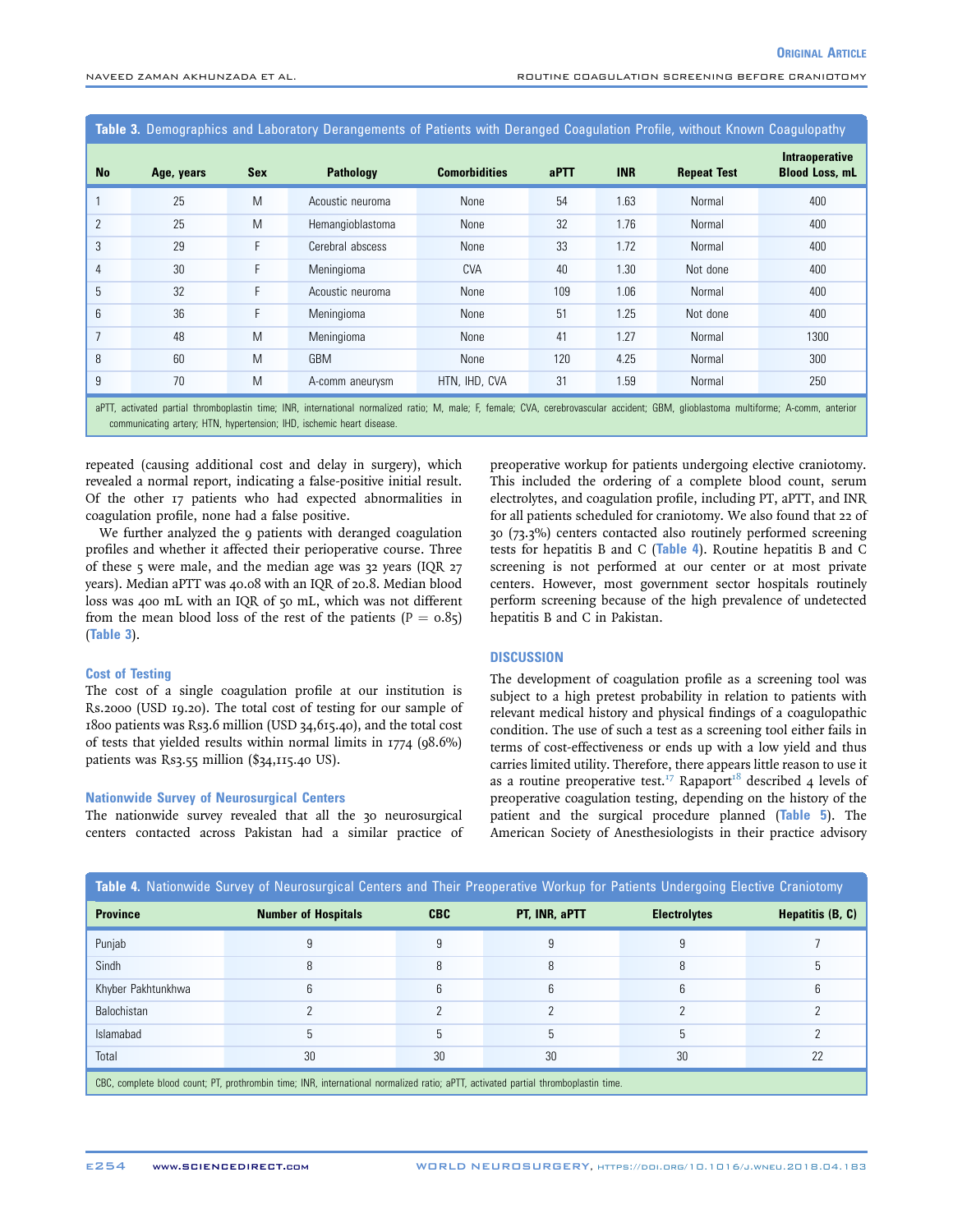Table 3. Demographics and Laboratory Derangements of Patients with Deranged Coagulation Profile, without Known Coagulopathy

| <b>No</b>                                                                                                                                                                                                                                                    | Age, years | <b>Sex</b> | <b>Pathology</b> | <b>Comorbidities</b> | aPTT | <b>INR</b> | <b>Repeat Test</b> | Intraoperative<br><b>Blood Loss, mL</b> |
|--------------------------------------------------------------------------------------------------------------------------------------------------------------------------------------------------------------------------------------------------------------|------------|------------|------------------|----------------------|------|------------|--------------------|-----------------------------------------|
|                                                                                                                                                                                                                                                              | 25         | M          | Acoustic neuroma | None                 | 54   | 1.63       | Normal             | 400                                     |
| $\overline{2}$                                                                                                                                                                                                                                               | 25         | M          | Hemangioblastoma | None                 | 32   | 1.76       | Normal             | 400                                     |
| 3                                                                                                                                                                                                                                                            | 29         | F          | Cerebral abscess | None                 | 33   | 1.72       | Normal             | 400                                     |
| 4                                                                                                                                                                                                                                                            | 30         | F          | Meningioma       | <b>CVA</b>           | 40   | 1.30       | Not done           | 400                                     |
| 5                                                                                                                                                                                                                                                            | 32         | F          | Acoustic neuroma | None                 | 109  | 1.06       | Normal             | 400                                     |
| 6                                                                                                                                                                                                                                                            | 36         | F          | Meningioma       | None                 | 51   | 1.25       | Not done           | 400                                     |
|                                                                                                                                                                                                                                                              | 48         | M          | Meningioma       | None                 | 41   | 1.27       | Normal             | 1300                                    |
| 8                                                                                                                                                                                                                                                            | 60         | M          | <b>GBM</b>       | None                 | 120  | 4.25       | Normal             | 300                                     |
| 9                                                                                                                                                                                                                                                            | 70         | M          | A-comm aneurysm  | HTN, IHD, CVA        | 31   | 1.59       | Normal             | 250                                     |
| aPTT, activated partial thromboplastin time; INR, international normalized ratio; M, male; F, female; CVA, cerebrovascular accident; GBM, glioblastoma multiforme; A-comm, anterior<br>communicating artery; HTN, hypertension; IHD, ischemic heart disease. |            |            |                  |                      |      |            |                    |                                         |

repeated (causing additional cost and delay in surgery), which revealed a normal report, indicating a false-positive initial result. Of the other 17 patients who had expected abnormalities in coagulation profile, none had a false positive.

We further analyzed the 9 patients with deranged coagulation profiles and whether it affected their perioperative course. Three of these 5 were male, and the median age was 32 years (IQR 27 years). Median aPTT was 40.08 with an IQR of 20.8. Median blood loss was 400 mL with an IQR of 50 mL, which was not different from the mean blood loss of the rest of the patients ( $P = 0.85$ ) (Table 3).

#### Cost of Testing

The cost of a single coagulation profile at our institution is Rs.2000 (USD 19.20). The total cost of testing for our sample of 1800 patients was Rs3.6 million (USD 34,615.40), and the total cost of tests that yielded results within normal limits in 1774 (98.6%) patients was Rs3.55 million (\$34,115.40 US).

#### Nationwide Survey of Neurosurgical Centers

The nationwide survey revealed that all the 30 neurosurgical centers contacted across Pakistan had a similar practice of preoperative workup for patients undergoing elective craniotomy. This included the ordering of a complete blood count, serum electrolytes, and coagulation profile, including PT, aPTT, and INR for all patients scheduled for craniotomy. We also found that 22 of 30 (73.3%) centers contacted also routinely performed screening tests for hepatitis B and C (Table 4). Routine hepatitis B and C screening is not performed at our center or at most private centers. However, most government sector hospitals routinely perform screening because of the high prevalence of undetected hepatitis B and C in Pakistan.

#### **DISCUSSION**

The development of coagulation profile as a screening tool was subject to a high pretest probability in relation to patients with relevant medical history and physical findings of a coagulopathic condition. The use of such a test as a screening tool either fails in terms of cost-effectiveness or ends up with a low yield and thus carries limited utility. Therefore, there appears little reason to use it as a routine preoperative test.<sup>[17](#page-6-0)</sup> Rapaport<sup>[18](#page-6-0)</sup> described 4 levels of preoperative coagulation testing, depending on the history of the patient and the surgical procedure planned ([Table 5](#page-5-0)). The American Society of Anesthesiologists in their practice advisory

|                                                                                                                                    | Table 4. Nationwide Survey of Neurosurgical Centers and Their Preoperative Workup for Patients Undergoing Elective Craniotomy |            |               |                     |                    |
|------------------------------------------------------------------------------------------------------------------------------------|-------------------------------------------------------------------------------------------------------------------------------|------------|---------------|---------------------|--------------------|
| <b>Province</b>                                                                                                                    | <b>Number of Hospitals</b>                                                                                                    | <b>CBC</b> | PT. INR. aPTT | <b>Electrolytes</b> | Hepatitis $(B, C)$ |
| Punjab                                                                                                                             |                                                                                                                               |            |               |                     |                    |
| Sindh                                                                                                                              |                                                                                                                               |            | 8             |                     |                    |
| Khyber Pakhtunkhwa                                                                                                                 |                                                                                                                               |            | 6             |                     |                    |
| Balochistan                                                                                                                        |                                                                                                                               |            |               |                     |                    |
| Islamabad                                                                                                                          |                                                                                                                               |            |               |                     |                    |
| Total                                                                                                                              | 30                                                                                                                            | 30         | 30            | 30                  | 22                 |
| CBC, complete blood count; PT, prothrombin time; INR, international normalized ratio; aPTT, activated partial thromboplastin time. |                                                                                                                               |            |               |                     |                    |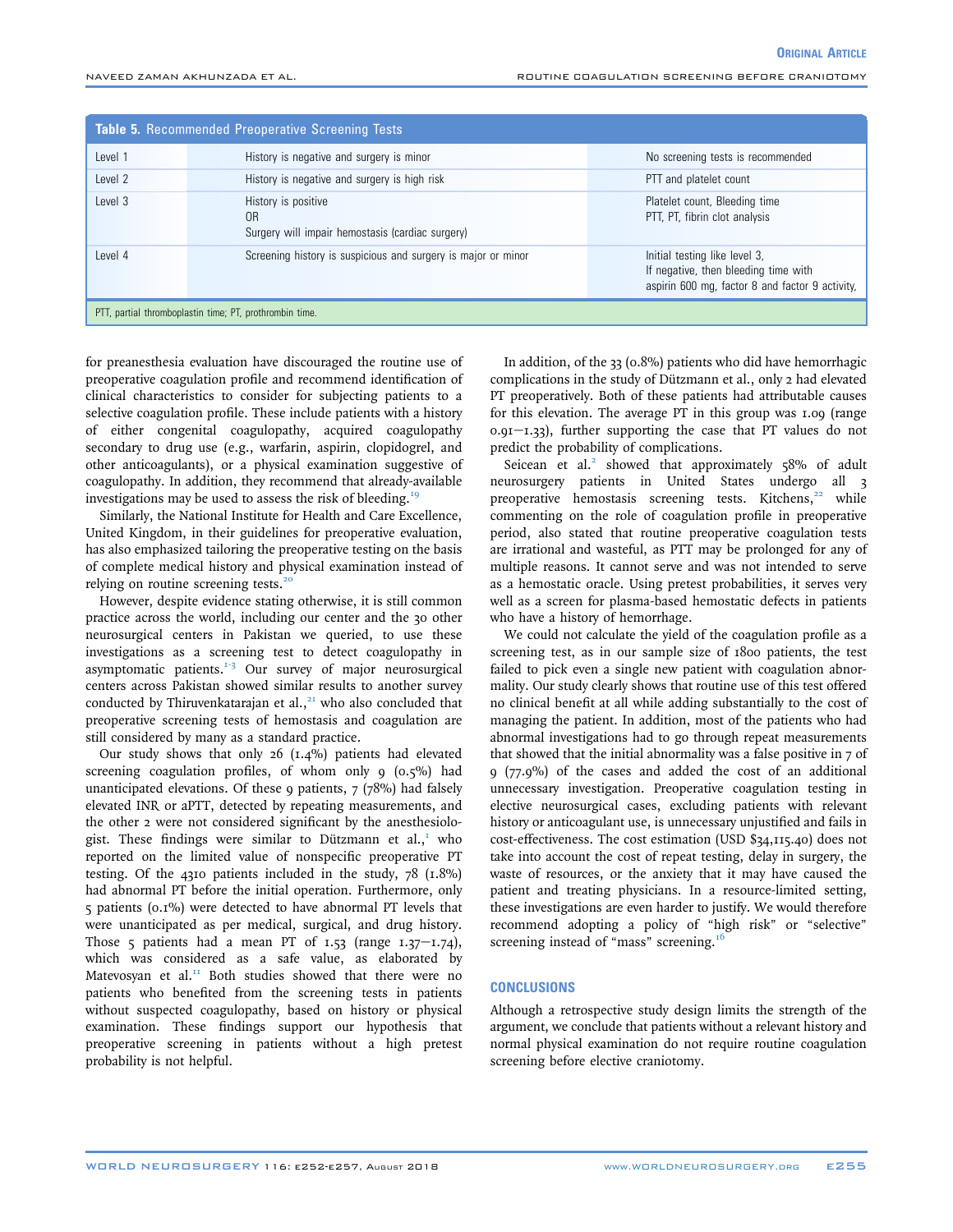<span id="page-5-0"></span>

| <b>Table 5. Recommended Preoperative Screening Tests</b> |                                                                                           |                                                                                                                          |  |  |
|----------------------------------------------------------|-------------------------------------------------------------------------------------------|--------------------------------------------------------------------------------------------------------------------------|--|--|
| Level 1                                                  | History is negative and surgery is minor                                                  | No screening tests is recommended                                                                                        |  |  |
| Level 2                                                  | History is negative and surgery is high risk                                              | PTT and platelet count                                                                                                   |  |  |
| Level 3                                                  | History is positive<br>0 <sub>R</sub><br>Surgery will impair hemostasis (cardiac surgery) | Platelet count, Bleeding time<br>PTT, PT, fibrin clot analysis                                                           |  |  |
| Level 4                                                  | Screening history is suspicious and surgery is major or minor                             | Initial testing like level 3,<br>If negative, then bleeding time with<br>aspirin 600 mg, factor 8 and factor 9 activity, |  |  |
|                                                          | PTT, partial thromboplastin time; PT, prothrombin time.                                   |                                                                                                                          |  |  |

for preanesthesia evaluation have discouraged the routine use of preoperative coagulation profile and recommend identification of clinical characteristics to consider for subjecting patients to a selective coagulation profile. These include patients with a history of either congenital coagulopathy, acquired coagulopathy secondary to drug use (e.g., warfarin, aspirin, clopidogrel, and other anticoagulants), or a physical examination suggestive of coagulopathy. In addition, they recommend that already-available investigations may be used to assess the risk of bleeding.<sup>[19](#page-6-0)</sup>

Similarly, the National Institute for Health and Care Excellence, United Kingdom, in their guidelines for preoperative evaluation, has also emphasized tailoring the preoperative testing on the basis of complete medical history and physical examination instead of relying on routine screening tests. $20$ 

However, despite evidence stating otherwise, it is still common practice across the world, including our center and the 30 other neurosurgical centers in Pakistan we queried, to use these investigations as a screening test to detect coagulopathy in asymptomatic patients. $1-3$  Our survey of major neurosurgical centers across Pakistan showed similar results to another survey conducted by Thiruvenkatarajan et al., $21$  who also concluded that preoperative screening tests of hemostasis and coagulation are still considered by many as a standard practice.

Our study shows that only 26 (1.4%) patients had elevated screening coagulation profiles, of whom only 9 (0.5%) had unanticipated elevations. Of these 9 patients,  $7$  ( $78\%$ ) had falsely elevated INR or aPTT, detected by repeating measurements, and the other 2 were not considered significant by the anesthesiologist. These findings were similar to Dützmann et al., $<sup>T</sup>$  who</sup> reported on the limited value of nonspecific preoperative PT testing. Of the 4310 patients included in the study, 78 (1.8%) had abnormal PT before the initial operation. Furthermore, only 5 patients (0.1%) were detected to have abnormal PT levels that were unanticipated as per medical, surgical, and drug history. Those 5 patients had a mean PT of  $1.53$  (range  $1.37 - 1.74$ ), which was considered as a safe value, as elaborated by Matevosyan et al. $^{II}$  Both studies showed that there were no patients who benefited from the screening tests in patients without suspected coagulopathy, based on history or physical examination. These findings support our hypothesis that preoperative screening in patients without a high pretest probability is not helpful.

In addition, of the 33 (0.8%) patients who did have hemorrhagic complications in the study of Dützmann et al., only 2 had elevated PT preoperatively. Both of these patients had attributable causes for this elevation. The average PT in this group was 1.09 (range  $0.91 - 1.33$ ), further supporting the case that PT values do not predict the probability of complications.

Seicean et al.<sup>[2](#page-6-0)</sup> showed that approximately  $58\%$  of adult neurosurgery patients in United States undergo all 3 preoperative hemostasis screening tests. Kitchens,<sup>[22](#page-6-0)</sup> while commenting on the role of coagulation profile in preoperative period, also stated that routine preoperative coagulation tests are irrational and wasteful, as PTT may be prolonged for any of multiple reasons. It cannot serve and was not intended to serve as a hemostatic oracle. Using pretest probabilities, it serves very well as a screen for plasma-based hemostatic defects in patients who have a history of hemorrhage.

We could not calculate the yield of the coagulation profile as a screening test, as in our sample size of 1800 patients, the test failed to pick even a single new patient with coagulation abnormality. Our study clearly shows that routine use of this test offered no clinical benefit at all while adding substantially to the cost of managing the patient. In addition, most of the patients who had abnormal investigations had to go through repeat measurements that showed that the initial abnormality was a false positive in 7 of 9 (77.9%) of the cases and added the cost of an additional unnecessary investigation. Preoperative coagulation testing in elective neurosurgical cases, excluding patients with relevant history or anticoagulant use, is unnecessary unjustified and fails in cost-effectiveness. The cost estimation (USD \$34,115.40) does not take into account the cost of repeat testing, delay in surgery, the waste of resources, or the anxiety that it may have caused the patient and treating physicians. In a resource-limited setting, these investigations are even harder to justify. We would therefore recommend adopting a policy of "high risk" or "selective" screening instead of "mass" screening.<sup>[16](#page-6-0)</sup>

#### **CONCLUSIONS**

Although a retrospective study design limits the strength of the argument, we conclude that patients without a relevant history and normal physical examination do not require routine coagulation screening before elective craniotomy.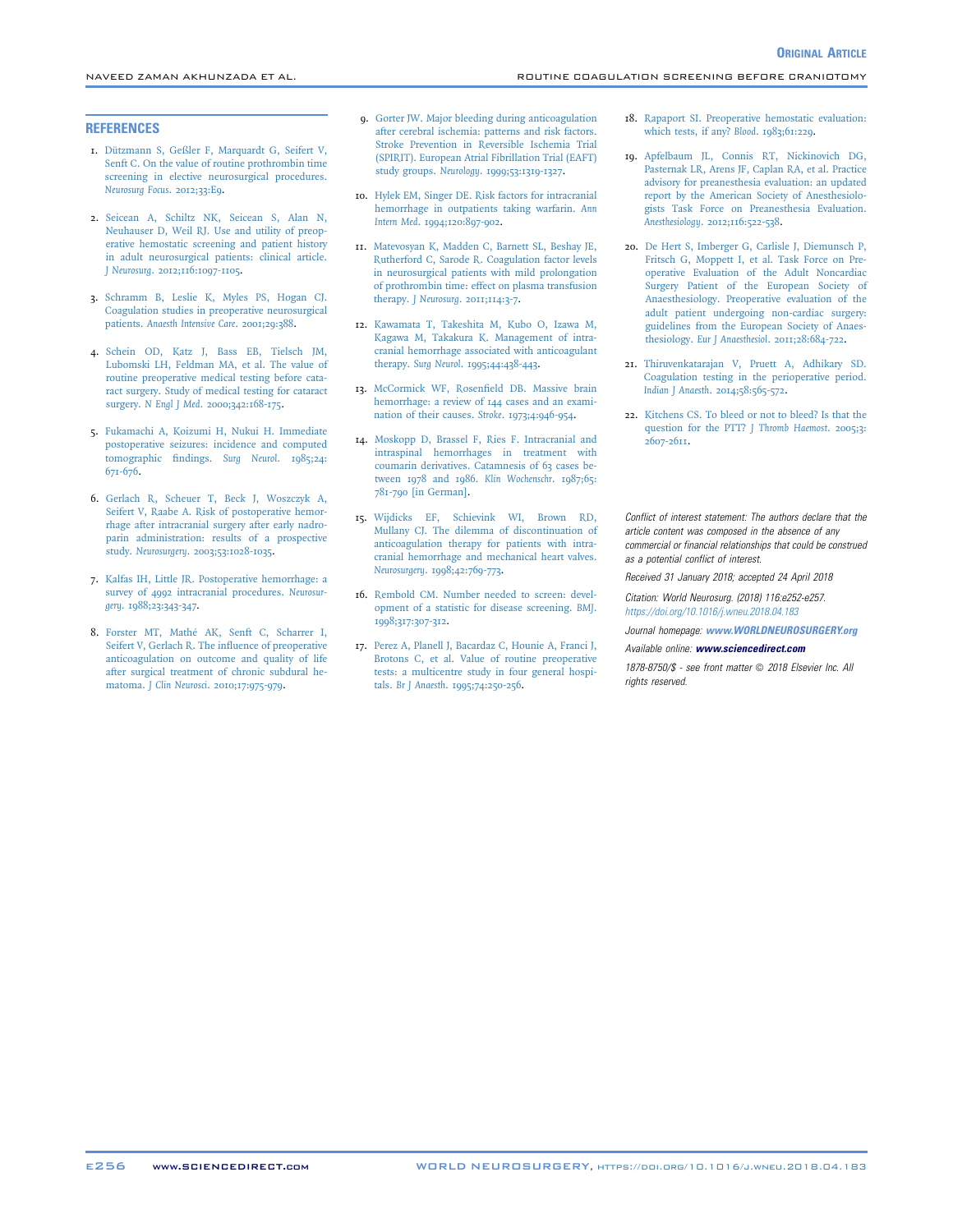#### <span id="page-6-0"></span>**REFERENCES**

- 1. [Dützmann S, Geßler F, Marquardt G, Seifert V,](http://refhub.elsevier.com/S1878-8750(18)30903-3/sref1) [Senft C. On the value of routine prothrombin time](http://refhub.elsevier.com/S1878-8750(18)30903-3/sref1) [screening in elective neurosurgical procedures.](http://refhub.elsevier.com/S1878-8750(18)30903-3/sref1) [Neurosurg Focus](http://refhub.elsevier.com/S1878-8750(18)30903-3/sref1). 2012;33:E9.
- 2. [Seicean A, Schiltz NK, Seicean S, Alan N,](http://refhub.elsevier.com/S1878-8750(18)30903-3/sref2) [Neuhauser D, Weil RJ. Use and utility of preop](http://refhub.elsevier.com/S1878-8750(18)30903-3/sref2)[erative hemostatic screening and patient history](http://refhub.elsevier.com/S1878-8750(18)30903-3/sref2) [in adult neurosurgical patients: clinical article.](http://refhub.elsevier.com/S1878-8750(18)30903-3/sref2) J Neurosurg[. 2012;116:1097-1105](http://refhub.elsevier.com/S1878-8750(18)30903-3/sref2).
- 3. [Schramm B, Leslie K, Myles PS, Hogan CJ.](http://refhub.elsevier.com/S1878-8750(18)30903-3/sref3) [Coagulation studies in preoperative neurosurgical](http://refhub.elsevier.com/S1878-8750(18)30903-3/sref3) patients. [Anaesth Intensive Care](http://refhub.elsevier.com/S1878-8750(18)30903-3/sref3). 2001;29:388.
- 4. [Schein OD, Katz J, Bass EB, Tielsch JM,](http://refhub.elsevier.com/S1878-8750(18)30903-3/sref4) [Lubomski LH, Feldman MA, et al. The value of](http://refhub.elsevier.com/S1878-8750(18)30903-3/sref4) [routine preoperative medical testing before cata](http://refhub.elsevier.com/S1878-8750(18)30903-3/sref4)[ract surgery. Study of medical testing for cataract](http://refhub.elsevier.com/S1878-8750(18)30903-3/sref4) surgery. N Engl J Med[. 2000;342:168-175.](http://refhub.elsevier.com/S1878-8750(18)30903-3/sref4)
- 5. [Fukamachi A, Koizumi H, Nukui H. Immediate](http://refhub.elsevier.com/S1878-8750(18)30903-3/sref5) [postoperative seizures: incidence and computed](http://refhub.elsevier.com/S1878-8750(18)30903-3/sref5) [tomographic](http://refhub.elsevier.com/S1878-8750(18)30903-3/sref5) findings. Surg Neurol. 1985;24: [671-676.](http://refhub.elsevier.com/S1878-8750(18)30903-3/sref5)
- 6. [Gerlach R, Scheuer T, Beck J, Woszczyk A,](http://refhub.elsevier.com/S1878-8750(18)30903-3/sref6) [Seifert V, Raabe A. Risk of postoperative hemor](http://refhub.elsevier.com/S1878-8750(18)30903-3/sref6)[rhage after intracranial surgery after early nadro](http://refhub.elsevier.com/S1878-8750(18)30903-3/sref6)[parin administration: results of a prospective](http://refhub.elsevier.com/S1878-8750(18)30903-3/sref6) study. Neurosurgery[. 2003;53:1028-1035.](http://refhub.elsevier.com/S1878-8750(18)30903-3/sref6)
- 7. [Kalfas IH, Little JR. Postoperative hemorrhage: a](http://refhub.elsevier.com/S1878-8750(18)30903-3/sref7) [survey of 4992 intracranial procedures.](http://refhub.elsevier.com/S1878-8750(18)30903-3/sref7) Neurosurgery[. 1988;23:343-347](http://refhub.elsevier.com/S1878-8750(18)30903-3/sref7).
- 8. [Forster MT, Mathé AK, Senft C, Scharrer I,](http://refhub.elsevier.com/S1878-8750(18)30903-3/sref8) [Seifert V, Gerlach R. The in](http://refhub.elsevier.com/S1878-8750(18)30903-3/sref8)fluence of preoperative [anticoagulation on outcome and quality of life](http://refhub.elsevier.com/S1878-8750(18)30903-3/sref8) [after surgical treatment of chronic subdural he](http://refhub.elsevier.com/S1878-8750(18)30903-3/sref8)matoma. J Clin Neurosci[. 2010;17:975-979.](http://refhub.elsevier.com/S1878-8750(18)30903-3/sref8)
- 9. [Gorter JW. Major bleeding during anticoagulation](http://refhub.elsevier.com/S1878-8750(18)30903-3/sref9) [after cerebral ischemia: patterns and risk factors.](http://refhub.elsevier.com/S1878-8750(18)30903-3/sref9) [Stroke Prevention in Reversible Ischemia Trial](http://refhub.elsevier.com/S1878-8750(18)30903-3/sref9) [\(SPIRIT\). European Atrial Fibrillation Trial \(EAFT\)](http://refhub.elsevier.com/S1878-8750(18)30903-3/sref9) study groups. Neurology[. 1999;53:1319-1327](http://refhub.elsevier.com/S1878-8750(18)30903-3/sref9).
- 10. [Hylek EM, Singer DE. Risk factors for intracranial](http://refhub.elsevier.com/S1878-8750(18)30903-3/sref10) [hemorrhage in outpatients taking warfarin.](http://refhub.elsevier.com/S1878-8750(18)30903-3/sref10) Ann Intern Med[. 1994;120:897-902](http://refhub.elsevier.com/S1878-8750(18)30903-3/sref10).
- 11. [Matevosyan K, Madden C, Barnett SL, Beshay JE,](http://refhub.elsevier.com/S1878-8750(18)30903-3/sref11) [Rutherford C, Sarode R. Coagulation factor levels](http://refhub.elsevier.com/S1878-8750(18)30903-3/sref11) [in neurosurgical patients with mild prolongation](http://refhub.elsevier.com/S1878-8750(18)30903-3/sref11) [of prothrombin time: effect on plasma transfusion](http://refhub.elsevier.com/S1878-8750(18)30903-3/sref11) therapy. J Neurosurg[. 2011;114:3-7.](http://refhub.elsevier.com/S1878-8750(18)30903-3/sref11)
- 12. [Kawamata T, Takeshita M, Kubo O, Izawa M,](http://refhub.elsevier.com/S1878-8750(18)30903-3/sref12) [Kagawa M, Takakura K. Management of intra](http://refhub.elsevier.com/S1878-8750(18)30903-3/sref12)[cranial hemorrhage associated with anticoagulant](http://refhub.elsevier.com/S1878-8750(18)30903-3/sref12) therapy. Surg Neurol[. 1995;44:438-443](http://refhub.elsevier.com/S1878-8750(18)30903-3/sref12).
- 13. [McCormick WF, Rosen](http://refhub.elsevier.com/S1878-8750(18)30903-3/sref13)field DB. Massive brain [hemorrhage: a review of 144 cases and an exami](http://refhub.elsevier.com/S1878-8750(18)30903-3/sref13)[nation of their causes.](http://refhub.elsevier.com/S1878-8750(18)30903-3/sref13) Stroke. 1973;4:946-954.
- 14. [Moskopp D, Brassel F, Ries F. Intracranial and](http://refhub.elsevier.com/S1878-8750(18)30903-3/sref14) [intraspinal hemorrhages in treatment with](http://refhub.elsevier.com/S1878-8750(18)30903-3/sref14) [coumarin derivatives. Catamnesis of 63 cases be](http://refhub.elsevier.com/S1878-8750(18)30903-3/sref14)[tween 1978 and 1986.](http://refhub.elsevier.com/S1878-8750(18)30903-3/sref14) Klin Wochenschr. 1987;65: [781-790 \[in German\]](http://refhub.elsevier.com/S1878-8750(18)30903-3/sref14).
- 15. [Wijdicks EF, Schievink WI, Brown RD,](http://refhub.elsevier.com/S1878-8750(18)30903-3/sref15) [Mullany CJ. The dilemma of discontinuation of](http://refhub.elsevier.com/S1878-8750(18)30903-3/sref15) [anticoagulation therapy for patients with intra](http://refhub.elsevier.com/S1878-8750(18)30903-3/sref15)[cranial hemorrhage and mechanical heart valves.](http://refhub.elsevier.com/S1878-8750(18)30903-3/sref15) Neurosurgery[. 1998;42:769-773.](http://refhub.elsevier.com/S1878-8750(18)30903-3/sref15)
- 16. [Rembold CM. Number needed to screen: devel](http://refhub.elsevier.com/S1878-8750(18)30903-3/sref16)[opment of a statistic for disease screening.](http://refhub.elsevier.com/S1878-8750(18)30903-3/sref16) BMJ. [1998;317:307-312.](http://refhub.elsevier.com/S1878-8750(18)30903-3/sref16)
- 17. [Perez A, Planell J, Bacardaz C, Hounie A, Franci J,](http://refhub.elsevier.com/S1878-8750(18)30903-3/sref17) [Brotons C, et al. Value of routine preoperative](http://refhub.elsevier.com/S1878-8750(18)30903-3/sref17) [tests: a multicentre study in four general hospi](http://refhub.elsevier.com/S1878-8750(18)30903-3/sref17)tals. Br J Anaesth[. 1995;74:250-256.](http://refhub.elsevier.com/S1878-8750(18)30903-3/sref17)

18. [Rapaport SI. Preoperative hemostatic evaluation:](http://refhub.elsevier.com/S1878-8750(18)30903-3/sref18) [which tests, if any?](http://refhub.elsevier.com/S1878-8750(18)30903-3/sref18) Blood. 1983;61:229.

**ORIGINAL ARTICLE** 

- 19. [Apfelbaum JL, Connis RT, Nickinovich DG,](http://refhub.elsevier.com/S1878-8750(18)30903-3/sref19) [Pasternak LR, Arens JF, Caplan RA, et al. Practice](http://refhub.elsevier.com/S1878-8750(18)30903-3/sref19) [advisory for preanesthesia evaluation: an updated](http://refhub.elsevier.com/S1878-8750(18)30903-3/sref19) [report by the American Society of Anesthesiolo](http://refhub.elsevier.com/S1878-8750(18)30903-3/sref19)[gists Task Force on Preanesthesia Evaluation.](http://refhub.elsevier.com/S1878-8750(18)30903-3/sref19) Anesthesiology[. 2012;116:522-538](http://refhub.elsevier.com/S1878-8750(18)30903-3/sref19).
- 20. [De Hert S, Imberger G, Carlisle J, Diemunsch P,](http://refhub.elsevier.com/S1878-8750(18)30903-3/sref20) [Fritsch G, Moppett I, et al. Task Force on Pre](http://refhub.elsevier.com/S1878-8750(18)30903-3/sref20)[operative Evaluation of the Adult Noncardiac](http://refhub.elsevier.com/S1878-8750(18)30903-3/sref20) [Surgery Patient of the European Society of](http://refhub.elsevier.com/S1878-8750(18)30903-3/sref20) [Anaesthesiology. Preoperative evaluation of the](http://refhub.elsevier.com/S1878-8750(18)30903-3/sref20) [adult patient undergoing non-cardiac surgery:](http://refhub.elsevier.com/S1878-8750(18)30903-3/sref20) [guidelines from the European Society of Anaes](http://refhub.elsevier.com/S1878-8750(18)30903-3/sref20)thesiology. Eur J Anaesthesiol[. 2011;28:684-722](http://refhub.elsevier.com/S1878-8750(18)30903-3/sref20).
- 21. [Thiruvenkatarajan V, Pruett A, Adhikary SD.](http://refhub.elsevier.com/S1878-8750(18)30903-3/sref21) [Coagulation testing in the perioperative period.](http://refhub.elsevier.com/S1878-8750(18)30903-3/sref21) Indian J Anaesth[. 2014;58:565-572](http://refhub.elsevier.com/S1878-8750(18)30903-3/sref21).
- 22. [Kitchens CS. To bleed or not to bleed? Is that the](http://refhub.elsevier.com/S1878-8750(18)30903-3/sref22) [question for the PTT?](http://refhub.elsevier.com/S1878-8750(18)30903-3/sref22) J Thromb Haemost. 2005;3: [2607-2611.](http://refhub.elsevier.com/S1878-8750(18)30903-3/sref22)

Conflict of interest statement: The authors declare that the article content was composed in the absence of any commercial or financial relationships that could be construed as a potential conflict of interest.

Received 31 January 2018; accepted 24 April 2018

Citation: World Neurosurg. (2018) 116:e252-e257. <https://doi.org/10.1016/j.wneu.2018.04.183>

Journal homepage: [www.WORLDNEUROSURGERY.org](http://www.WORLDNEUROSURGERY.org)

#### Available online: [www.sciencedirect.com](www.sciencedirect.com/science/journal/18788750)

 $1878-8750\%$  - see front matter  $\odot$  2018 Elsevier Inc. All rights reserved.